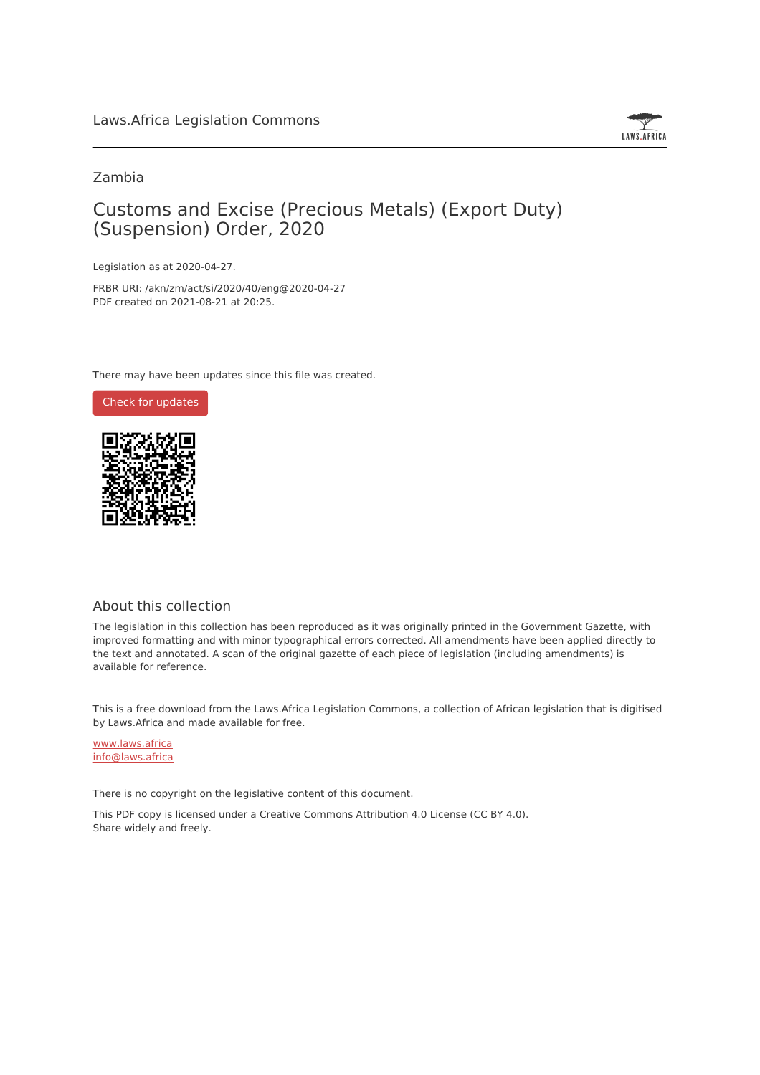

#### Zambia

## Customs and Excise (Precious Metals) (Export Duty) (Suspension) Order, 2020

Legislation as at 2020-04-27.

FRBR URI: /akn/zm/act/si/2020/40/eng@2020-04-27 PDF created on 2021-08-21 at 20:25.

There may have been updates since this file was created.



#### About this collection

The legislation in this collection has been reproduced as it was originally printed in the Government Gazette, with improved formatting and with minor typographical errors corrected. All amendments have been applied directly to the text and annotated. A scan of the original gazette of each piece of legislation (including amendments) is available for reference.

This is a free download from the Laws.Africa Legislation Commons, a collection of African legislation that is digitised by Laws.Africa and made available for free.

[www.laws.africa](https://www.laws.africa) [info@laws.africa](mailto:info@laws.africa)

There is no copyright on the legislative content of this document.

This PDF copy is licensed under a Creative Commons Attribution 4.0 License (CC BY 4.0). Share widely and freely.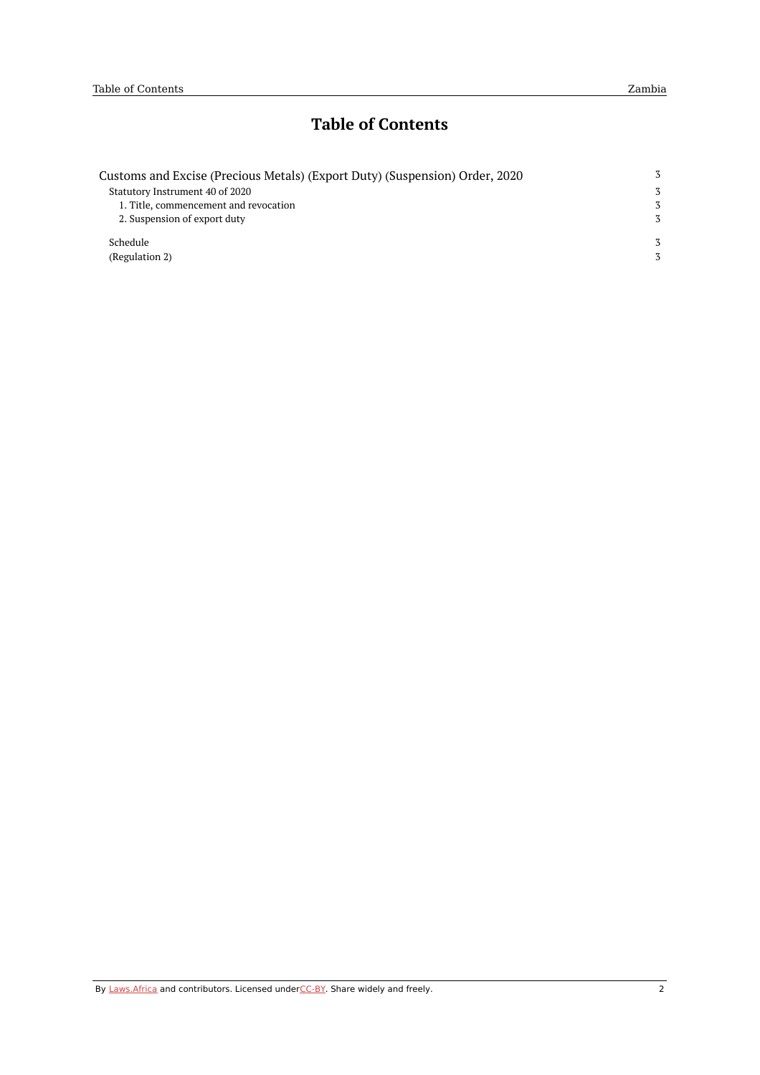## **Table of Contents**

| Customs and Excise (Precious Metals) (Export Duty) (Suspension) Order, 2020 | 3 |
|-----------------------------------------------------------------------------|---|
| Statutory Instrument 40 of 2020                                             | 3 |
| 1. Title, commencement and revocation                                       | 3 |
| 2. Suspension of export duty                                                | 3 |
| Schedule                                                                    |   |
| (Regulation 2)                                                              |   |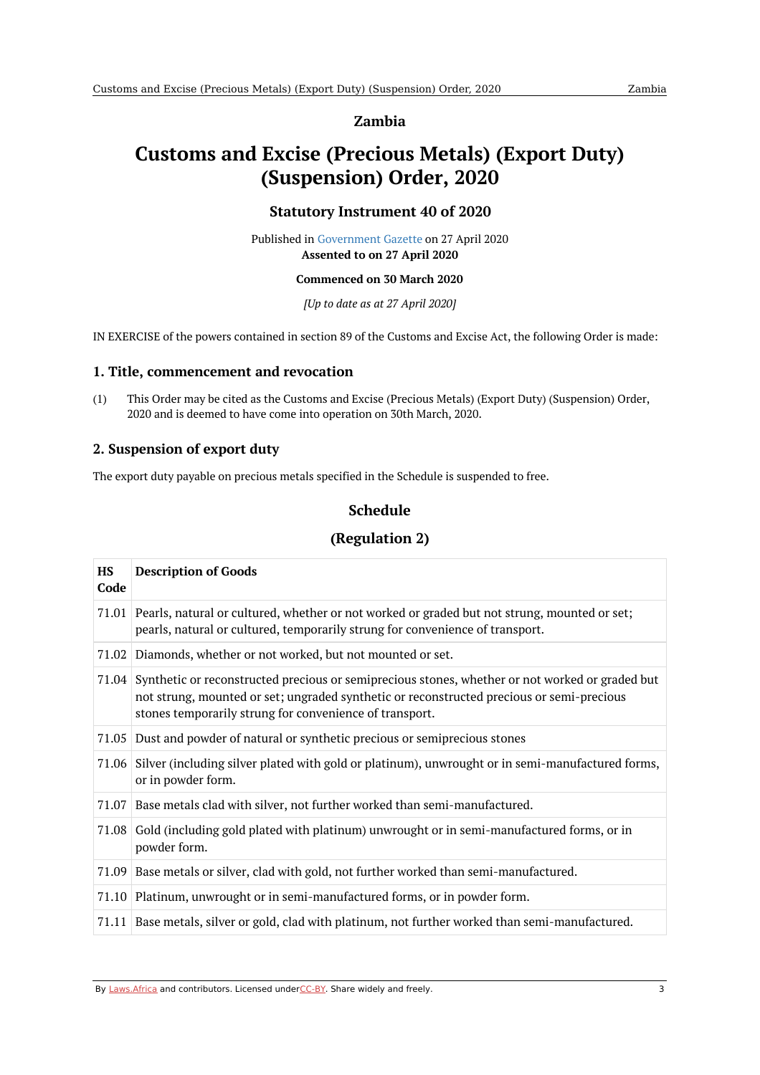#### **Zambia**

# <span id="page-2-1"></span><span id="page-2-0"></span>**Customs and Excise (Precious Metals) (Export Duty) (Suspension) Order, 2020**

#### **Statutory Instrument 40 of 2020**

Published in [Government](https://commons.laws.africa/akn/zm/act/si/2020/40/media/publication/zm-act-si-2020-40-publication-document.pdf) Gazette on 27 April 2020 **Assented to on 27 April 2020**

#### **Commenced on 30 March 2020**

*[Up to date as at 27 April 2020]*

IN EXERCISE of the powers contained in section 89 of the Customs and Excise Act, the following Order is made:

#### <span id="page-2-2"></span>**1. Title, commencement and revocation**

(1) This Order may be cited as the Customs and Excise (Precious Metals) (Export Duty) (Suspension) Order, 2020 and is deemed to have come into operation on 30th March, 2020.

#### <span id="page-2-3"></span>**2. Suspension of export duty**

<span id="page-2-4"></span>The export duty payable on precious metals specified in the Schedule is suspended to free.

### **Schedule**

### **(Regulation 2)**

<span id="page-2-5"></span>

| <b>HS</b><br>Code | <b>Description of Goods</b>                                                                                                                                                                                                                                   |
|-------------------|---------------------------------------------------------------------------------------------------------------------------------------------------------------------------------------------------------------------------------------------------------------|
|                   | 71.01 Pearls, natural or cultured, whether or not worked or graded but not strung, mounted or set;<br>pearls, natural or cultured, temporarily strung for convenience of transport.                                                                           |
|                   | 71.02 Diamonds, whether or not worked, but not mounted or set.                                                                                                                                                                                                |
|                   | 71.04 Synthetic or reconstructed precious or semiprecious stones, whether or not worked or graded but<br>not strung, mounted or set; ungraded synthetic or reconstructed precious or semi-precious<br>stones temporarily strung for convenience of transport. |
|                   | 71.05 Dust and powder of natural or synthetic precious or semiprecious stones                                                                                                                                                                                 |
|                   | 71.06 Silver (including silver plated with gold or platinum), unwrought or in semi-manufactured forms,<br>or in powder form.                                                                                                                                  |
|                   | 71.07 Base metals clad with silver, not further worked than semi-manufactured.                                                                                                                                                                                |
|                   | 71.08 Gold (including gold plated with platinum) unwrought or in semi-manufactured forms, or in<br>powder form.                                                                                                                                               |
|                   | 71.09 Base metals or silver, clad with gold, not further worked than semi-manufactured.                                                                                                                                                                       |
|                   | 71.10 Platinum, unwrought or in semi-manufactured forms, or in powder form.                                                                                                                                                                                   |
|                   | 71.11 Base metals, silver or gold, clad with platinum, not further worked than semi-manufactured.                                                                                                                                                             |